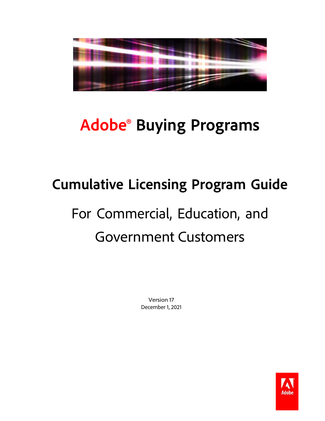

# **Adobe® Buying Programs**

# **Cumulative Licensing Program Guide**

# For Commercial, Education, and Government Customers

Version 17 December 1, 2021

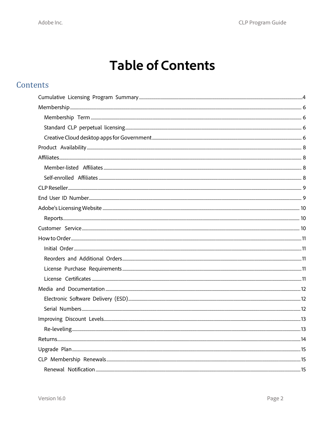# **Table of Contents**

#### Contents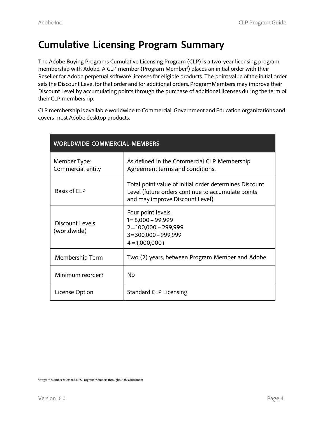# **Cumulative Licensing Program Summary**

The Adobe Buying Programs Cumulative Licensing Program (CLP) is a two-year licensing program membership with Adobe. A CLP member (Program Member<sup>1</sup>) places an initial order with their Reseller for Adobe perpetual software licenses for eligible products. The point value of the initial order setsthe Discount Level for that order and for additional orders. ProgramMembers may improve their Discount Level by accumulating points through the purchase of additional licenses during the term of their CLP membership.

CLP membership is available worldwide to Commercial, Government and Education organizations and covers most Adobe desktop products.

| <b>WORLDWIDE COMMERCIAL MEMBERS</b> |                                                                                                                                                  |
|-------------------------------------|--------------------------------------------------------------------------------------------------------------------------------------------------|
| Member Type:<br>Commercial entity   | As defined in the Commercial CLP Membership<br>Agreement terms and conditions.                                                                   |
| Basis of CLP                        | Total point value of initial order determines Discount<br>Level (future orders continue to accumulate points<br>and may improve Discount Level). |
| Discount Levels<br>(worldwide)      | Four point levels:<br>$1 = 8,000 - 99,999$<br>$2 = 100,000 - 299,999$<br>$3 = 300,000 - 999,999$<br>$4 = 1,000,000+$                             |
| Membership Term                     | Two (2) years, between Program Member and Adobe                                                                                                  |
| Minimum reorder?                    | No                                                                                                                                               |
| License Option                      | <b>Standard CLP Licensing</b>                                                                                                                    |

Program Member refers to CLP 5 Program Members throughout this document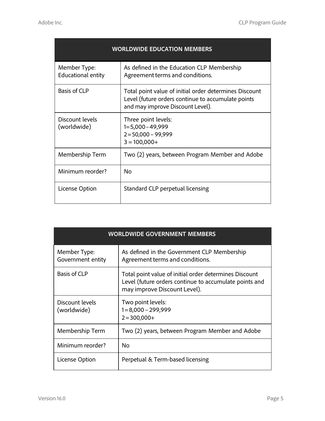| <b>WORLDWIDE EDUCATION MEMBERS</b>        |                                                                                                                                                  |
|-------------------------------------------|--------------------------------------------------------------------------------------------------------------------------------------------------|
| Member Type:<br><b>Educational entity</b> | As defined in the Education CLP Membership<br>Agreement terms and conditions.                                                                    |
| <b>Basis of CLP</b>                       | Total point value of initial order determines Discount<br>Level (future orders continue to accumulate points<br>and may improve Discount Level). |
| Discount levels<br>(worldwide)            | Three point levels:<br>$1=5,000-49,999$<br>$2 = 50,000 - 99,999$<br>$3 = 100,000+$                                                               |
| Membership Term                           | Two (2) years, between Program Member and Adobe                                                                                                  |
| Minimum reorder?                          | No                                                                                                                                               |
| License Option                            | Standard CLP perpetual licensing                                                                                                                 |

|                                   | <b>WORLDWIDE GOVERNMENT MEMBERS</b>                                                                                                              |
|-----------------------------------|--------------------------------------------------------------------------------------------------------------------------------------------------|
| Member Type:<br>Government entity | As defined in the Government CLP Membership<br>Agreement terms and conditions.                                                                   |
| <b>Basis of CLP</b>               | Total point value of initial order determines Discount<br>Level (future orders continue to accumulate points and<br>may improve Discount Level). |
| Discount levels<br>(worldwide)    | Two point levels:<br>$1 = 8,000 - 299,999$<br>$2 = 300,000+$                                                                                     |
| Membership Term                   | Two (2) years, between Program Member and Adobe                                                                                                  |
| Minimum reorder?                  | <b>No</b>                                                                                                                                        |
| License Option                    | Perpetual & Term-based licensing                                                                                                                 |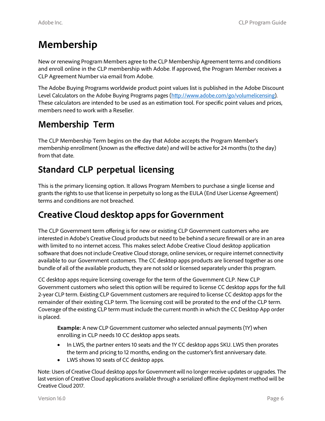# **Membership**

New or renewing Program Members agree to the CLP Membership Agreement terms and conditions and enroll online in the CLP membership with Adobe. If approved, the Program Member receives a CLP Agreement Number via email from Adobe.

The Adobe Buying Programs worldwide product point values list is published in the Adobe Discount Level Calculators on the Adobe Buying Programs pages [\(http://www.adobe.com/go/volumelicensing\)](http://www.adobe.com/go/volumelicensing). These calculators are intended to be used as an estimation tool. For specific point values and prices, members need to work with a Reseller.

# **Membership Term**

The CLP Membership Term begins on the day that Adobe accepts the Program Member's membership enrollment (known asthe effective date) and will be active for 24 months (to the day) from that date.

## **Standard CLP perpetual licensing**

This is the primary licensing option. It allows Program Members to purchase a single license and grants the rights to use that license in perpetuity so long as the EULA (End User License Agreement) terms and conditions are not breached.

## **Creative Cloud desktop apps for Government**

The CLP Government term offering is for new or existing CLP Government customers who are interested in Adobe's Creative Cloud products but need to be behind a secure firewall or are in an area with limited to no internet access. This makes select Adobe Creative Cloud desktop application software that does not include Creative Cloud storage, online services, or require internet connectivity available to our Government customers. The CC desktop apps products are licensed together as one bundle of all of the available products, they are not sold or licensed separately under this program.

CC desktop apps require licensing coverage for the term of the Government CLP. New CLP Government customers who select this option will be required to license CC desktop apps for the full 2-year CLP term. Existing CLP Government customers are required to license CC desktop apps for the remainder of their existing CLP term. The licensing cost will be prorated to the end of the CLP term. Coverage of the existing CLP term must include the current month in which the CC Desktop App order is placed.

**Example:** A new CLP Government customer who selected annual payments(1Y) when enrolling in CLP needs 10 CC desktop apps seats.

- In LWS, the partner enters 10 seats and the 1Y CC desktop apps SKU. LWS then prorates the term and pricing to 12 months, ending on the customer's first anniversary date.
- LWS shows 10 seats of CC desktop apps.

Note: Users of Creative Cloud desktop appsfor Government will no longer receive updates or upgrades. The last version of Creative Cloud applications available through a serialized offline deployment method will be Creative Cloud 2017.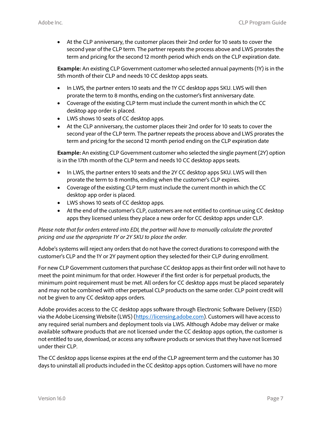• At the CLP anniversary, the customer places their 2nd order for 10 seats to cover the second year of the CLP term. The partner repeats the process above and LWS prorates the term and pricing for the second 12 month period which ends on the CLP expiration date.

**Example:** An existing CLP Government customer who selected annual payments(1Y) is in the 5th month of their CLP and needs 10 CC desktop apps seats.

- In LWS, the partner enters 10 seats and the 1Y CC desktop apps SKU. LWS will then prorate the term to 8 months, ending on the customer's first anniversary date.
- Coverage of the existing CLP term must include the current month in which the CC desktop app order is placed.
- LWS shows 10 seats of CC desktop apps.
- At the CLP anniversary, the customer places their 2nd order for 10 seats to cover the second year of the CLP term. The partner repeats the process above and LWS prorates the term and pricing for the second 12 month period ending on the CLP expiration date

**Example:** An existing CLP Government customer who selected the single payment (2Y) option is in the 17th month of the CLP term and needs 10 CC desktop apps seats.

- In LWS, the partner enters 10 seats and the 2Y CC desktop apps SKU. LWS will then prorate the term to 8 months, ending when the customer's CLP expires.
- Coverage of the existing CLP term must include the current month in which the CC desktop app order is placed.
- LWS shows 10 seats of CC desktop apps.
- At the end of the customer's CLP, customers are not entitled to continue using CC desktop apps they licensed unless they place a new order for CC desktop apps under CLP.

*Please note that for orders entered into EDI, the partner will have to manually calculate the prorated pricing and use the appropriate 1Y or 2Y SKU to place the order.*

Adobe's systems will reject any orders that do not have the correct durations to correspond with the customer's CLP and the 1Y or 2Y payment option they selected for their CLP during enrollment.

For new CLP Government customersthat purchase CC desktop apps astheir first order will not have to meet the point minimum for that order. However if the first order is for perpetual products, the minimum point requirement must be met. All orders for CC desktop apps must be placed separately and may not be combined with other perpetual CLP products on the same order. CLP point credit will not be given to any CC desktop apps orders.

Adobe provides access to the CC desktop apps software through Electronic Software Delivery (ESD) via the Adobe Licensing Website (LWS) [\(https://licensing.adobe.com\)](https://licensing.adobe.com/). Customers will have access to any required serial numbers and deployment tools via LWS. Although Adobe may deliver or make available software products that are not licensed under the CC desktop apps option, the customer is not entitled to use, download, or access any software products or services that they have not licensed under their CLP.

The CC desktop apps license expires at the end of the CLP agreement term and the customer has 30 days to uninstall all products included in the CC desktop apps option. Customers will have no more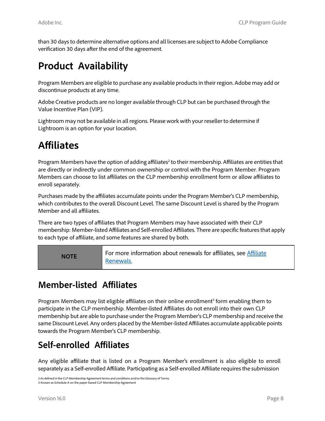than 30 days to determine alternative options and all licenses are subject to Adobe Compliance verification 30 days after the end of the agreement.

# **Product Availability**

Program Members are eligible to purchase any available productsin their region. Adobe may add or discontinue products at any time.

Adobe Creative products are no longer available through CLP but can be purchased through the Value Incentive Plan (VIP).

Lightroom may not be available in all regions. Please work with your reseller to determine if Lightroom is an option for your location.

# **Affiliates**

Program Members have the option of adding affiliates<sup>2</sup> to their membership. Affiliates are entities that are directly or indirectly under common ownership or control with the Program Member. Program Members can choose to list affiliates on the CLP membership enrollment form or allow affiliates to enroll separately.

Purchases made by the affiliates accumulate points under the Program Member's CLP membership, which contributes to the overall Discount Level. The same Discount Level is shared by the Program Member and all affiliates.

There are two types of affiliates that Program Members may have associated with their CLP membership: Member-listed Affiliates and Self-enrolled Affiliates. There are specific features that apply to each type of affiliate, and some features are shared by both.

**NOTE** For more information about renewals for affiliates, see *Affiliate* Renewals.

#### **Member-listed Affiliates**

Program Members may list eligible affiliates on their online enrollment<sup>3</sup> form enabling them to participate in the CLP membership. Member-listed Affiliates do not enroll into their own CLP membership but are able to purchase under the Program Member's CLP membership and receive the same Discount Level. Any orders placed by the Member-listed Affiliates accumulate applicable points towards the Program Member's CLP membership.

## **Self-enrolled Affiliates**

Any eligible affiliate that is listed on a Program Member's enrollment is also eligible to enroll separately as a Self-enrolled Affiliate. Participating as a Self-enrolled Affiliate requiresthe submission

2 As defined in the CLP Membership Agreement terms and conditions and/or the Glossary of Terms. 3 Known as Schedule A on the paper-based CLP Membership Agreement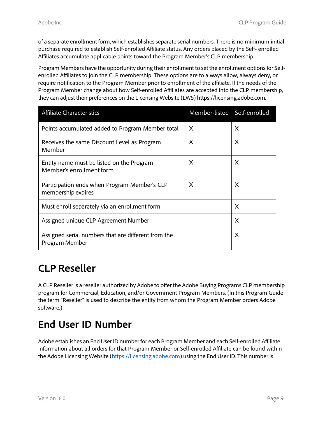of a separate enrollment form, which establishesseparate serial numbers. There is no minimum initial purchase required to establish Self-enrolled Affiliate status. Any orders placed by the Self- enrolled Affiliates accumulate applicable points toward the Program Member's CLP membership.

Program Members have the opportunity during their enrollment to set the enrollment options for Selfenrolled Affiliates to join the CLP membership. These options are to always allow, always deny, or require notification to the Program Member prior to enrollment of the affiliate. If the needs of the Program Member change about how Self-enrolled Affiliates are accepted into the CLP membership, they can adjust their preferences on the Licensing Website (LWS) https://licensing.adobe.com.

| <b>Affiliate Characteristics</b>                                      | Member-listed Self-enrolled |          |
|-----------------------------------------------------------------------|-----------------------------|----------|
| Points accumulated added to Program Member total                      | X                           | X        |
| Receives the same Discount Level as Program<br>Member                 | X                           | X        |
| Entity name must be listed on the Program<br>Member's enrollment form | X                           | X        |
| Participation ends when Program Member's CLP<br>membership expires    | X                           | X        |
| Must enroll separately via an enrollment form                         |                             | X        |
| Assigned unique CLP Agreement Number                                  |                             | X        |
| Assigned serial numbers that are different from the<br>Program Member |                             | $\times$ |

# **CLP Reseller**

A CLP Reseller is a reseller authorized by Adobe to offer the Adobe Buying Programs CLP membership program for Commercial, Education, and/or Government Program Members. (In this Program Guide the term "Reseller" is used to describe the entity from whom the Program Member orders Adobe software.)

# **End User ID Number**

Adobe establishes an End User ID number for each Program Member and each Self-enrolled Affiliate. Information about all orders for that Program Member or Self-enrolled Affiliate can be found within the Adobe Licensing Website [\(https://licensing.adobe.com\)](https://licensing.adobe.com/) using the End User ID. This number is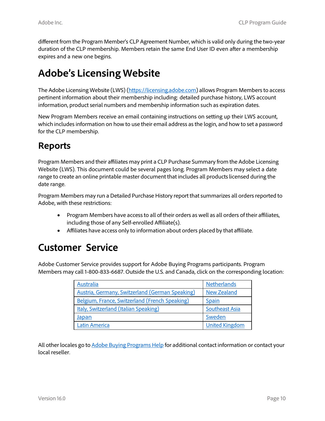different from the Program Member's CLP Agreement Number, which is valid only during the two-year duration of the CLP membership. Members retain the same End User ID even after a membership expires and a new one begins.

# **Adobe's Licensing Website**

The Adobe Licensing Website (LWS) [\(https://licensing.adobe.com\)](https://licensing.adobe.com/) allows Program Membersto access pertinent information about their membership including: detailed purchase history, LWS account information, product serial numbers and membership information such as expiration dates.

New Program Members receive an email containing instructions on setting up their LWS account, which includes information on how to use their email address as the login, and how to set a password for the CLP membership.

#### **Reports**

Program Members and their affiliates may print a CLP Purchase Summary from the Adobe Licensing Website (LWS). This document could be several pages long. Program Members may select a date range to create an online printable master document that includes all products licensed during the date range.

Program Members may run a Detailed Purchase History report that summarizes all orders reported to Adobe, with these restrictions:

- Program Members have accessto all of their orders as well as all orders of their affiliates, including those of any Self-enrolled Affiliate(s).
- Affiliates have access only to information about orders placed by that affiliate.

# **Customer Service**

Adobe Customer Service provides support for Adobe Buying Programs participants. Program Members may call 1-800-833-6687. Outside the U.S. and Canada, click on the corresponding location:

| Australia                                       | <b>Netherlands</b>    |
|-------------------------------------------------|-----------------------|
| Austria, Germany, Switzerland (German Speaking) | <b>New Zealand</b>    |
| Belgium, France, Switzerland (French Speaking)  | Spain                 |
| Italy, Switzerland (Italian Speaking)           | Southeast Asia        |
| Japan                                           | Sweden                |
| Latin America                                   | <b>United Kingdom</b> |

All other locales go to Adobe Buying [Programs](https://helpx.adobe.com/contact.html?step=ZNA-vip_stillNeedHelp) Help for additional contact information or contact your local reseller.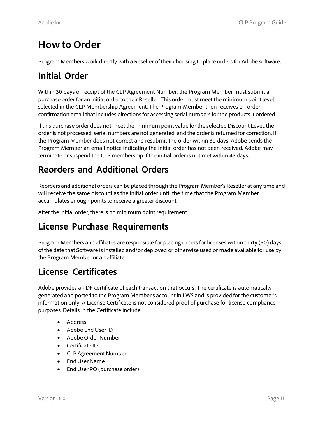# **How to Order**

Program Members work directly with a Reseller of their choosing to place orders for Adobe software.

#### **Initial Order**

Within 30 days of receipt of the CLP Agreement Number, the Program Member must submit a purchase order for an initial order to their Reseller. This order must meet the minimum point level selected in the CLP Membership Agreement. The Program Member then receives an order confirmation email that includes directions for accessing serial numbers for the products it ordered.

If this purchase order does not meet the minimum point value for the selected Discount Level, the order is not processed, serial numbers are not generated, and the order is returned for correction. If the Program Member does not correct and resubmit the order within 30 days, Adobe sends the Program Member an email notice indicating the initial order has not been received. Adobe may terminate or suspend the CLP membership if the initial order is not met within 45 days.

## **Reorders and Additional Orders**

Reorders and additional orders can be placed through the Program Member's Reseller at any time and will receive the same discount as the initial order until the time that the Program Member accumulates enough points to receive a greater discount.

After the initial order, there is no minimum point requirement.

#### **License Purchase Requirements**

Program Members and affiliates are responsible for placing orders for licenses within thirty (30) days of the date that Software isinstalled and/or deployed or otherwise used or made available for use by the Program Member or an affiliate.

#### **License Certificates**

Adobe provides a PDF certificate of each transaction that occurs. The certificate is automatically generated and posted to the Program Member's account in LWS and is provided for the customer's information only. A License Certificate is not considered proof of purchase for license compliance purposes. Details in the Certificate include:

- Address
- Adobe End User ID
- Adobe Order Number
- Certificate ID
- CLP Agreement Number
- End User Name
- End User PO (purchase order)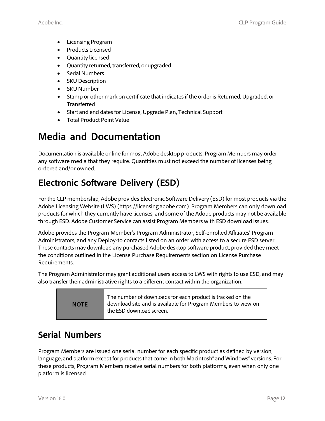- Licensing Program
- Products Licensed
- Quantity licensed
- Quantity returned, transferred, or upgraded
- Serial Numbers
- SKU Description
- SKU Number
- Stamp or other mark on certificate that indicates if the order is Returned, Upgraded, or **Transferred**
- Start and end datesfor License, Upgrade Plan, Technical Support
- Total Product Point Value

# **Media and Documentation**

Documentation is available online for most Adobe desktop products. Program Members may order any software media that they require. Quantities must not exceed the number of licenses being ordered and/or owned.

# **Electronic Software Delivery (ESD)**

For the CLP membership, Adobe provides Electronic Software Delivery (ESD) for most products via the Adobe Licensing Website (LWS) (https://licensing.adobe.com). Program Members can only download products for which they currently have licenses, and some of the Adobe products may not be available through ESD. Adobe Customer Service can assist Program Members with ESD download issues.

Adobe provides the Program Member's Program Administrator, Self-enrolled Affiliates' Program Administrators, and any Deploy-to contacts listed on an order with access to a secure ESD server. These contacts may download any purchased Adobe desktop software product, provided they meet the conditions outlined in the License Purchase Requirements section on License Purchase Requirements.

The Program Administrator may grant additional users access to LWS with rights to use ESD, and may also transfer their administrative rights to a different contact within the organization.

**NOTE**

The number of downloads for each product is tracked on the download site and is available for Program Members to view on the ESD download screen.

#### **Serial Numbers**

Program Members are issued one serial number for each specific product as defined by version, language, and platform except for products that come in both Macintosh® and Windows® versions. For these products, Program Members receive serial numbers for both platforms, even when only one platform is licensed.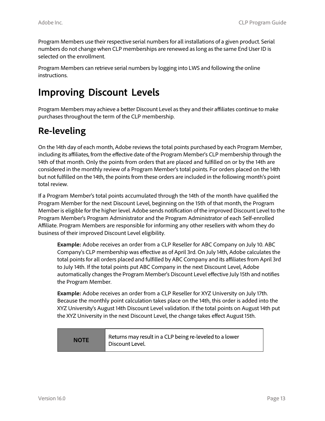Program Members use their respective serial numbersfor all installations of a given product. Serial numbers do not change when CLP memberships are renewed aslong asthe same End User ID is selected on the enrollment.

Program Members can retrieve serial numbers by logging into LWS and following the online instructions.

# **Improving Discount Levels**

Program Members may achieve a better Discount Level asthey and their affiliates continue to make purchases throughout the term of the CLP membership.

#### **Re-leveling**

On the 14th day of each month, Adobe reviews the total points purchased by each Program Member, including its affiliates, from the effective date of the Program Member's CLP membership through the 14th of that month. Only the points from orders that are placed and fulfilled on or by the 14th are considered in the monthly review of a Program Member's total points. For orders placed on the 14th but not fulfilled on the 14th, the points from these orders are included in the following month's point total review.

If a Program Member's total points accumulated through the 14th of the month have qualified the Program Member for the next Discount Level, beginning on the 15th of that month, the Program Member is eligible for the higher level. Adobe sends notification of the improved Discount Level to the Program Member's Program Administrator and the Program Administrator of each Self-enrolled Affiliate. Program Members are responsible for informing any other resellers with whom they do business of their improved Discount Level eligibility.

**Example:** Adobe receives an order from a CLP Reseller for ABC Company on July 10. ABC Company's CLP membership was effective as of April 3rd. On July 14th, Adobe calculates the total points for all orders placed and fulfilled by ABC Company and its affiliates from April 3rd to July 14th. If the total points put ABC Company in the next Discount Level, Adobe automatically changes the Program Member's Discount Level effective July 15th and notifies the Program Member.

**Example:** Adobe receives an order from a CLP Reseller for XYZ University on July 17th. Because the monthly point calculation takes place on the 14th, this order is added into the XYZ University's August 14th Discount Level validation. If the total points on August 14th put the XYZ University in the next Discount Level, the change takes effect August 15th.

| <b>NOTE</b> | Returns may result in a CLP being re-leveled to a lower<br>Discount Level. |
|-------------|----------------------------------------------------------------------------|
|-------------|----------------------------------------------------------------------------|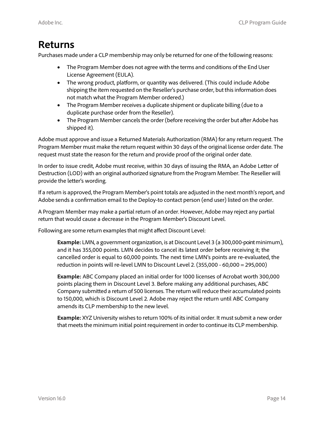#### **Returns**

Purchases made under a CLP membership may only be returned for one of the following reasons:

- The Program Member does not agree with the terms and conditions of the End User License Agreement (EULA).
- The wrong product, platform, or quantity was delivered. (This could include Adobe shipping the item requested on the Reseller's purchase order, but this information does not match what the Program Member ordered.)
- The Program Member receives a duplicate shipment or duplicate billing (due to a duplicate purchase order from the Reseller).
- The Program Member cancels the order (before receiving the order but after Adobe has shipped it).

Adobe must approve and issue a Returned Materials Authorization (RMA) for any return request. The Program Member must make the return request within 30 days of the original license order date. The request must state the reason for the return and provide proof of the original order date.

In order to issue credit, Adobe must receive, within 30 days of issuing the RMA, an Adobe Letter of Destruction (LOD) with an original authorized signature from the Program Member. The Reseller will provide the letter's wording.

If a return is approved, the Program Member's point totals are adjusted in the next month's report, and Adobe sends a confirmation email to the Deploy-to contact person (end user) listed on the order.

A Program Member may make a partial return of an order. However, Adobe may reject any partial return that would cause a decrease in the Program Member's Discount Level.

Following are some return examples that might affect Discount Level:

**Example:** LMN, a government organization, is at Discount Level 3 (a 300,000-point minimum), and it has 355,000 points. LMN decides to cancel its latest order before receiving it; the cancelled order is equal to 60,000 points. The next time LMN's points are re-evaluated, the reduction in points will re-level LMN to Discount Level 2. (355,000 - 60,000 = 295,000)

**Example:** ABC Company placed an initial order for 1000 licenses of Acrobat worth 300,000 points placing them in Discount Level 3. Before making any additional purchases, ABC Company submitted a return of 500 licenses. The return will reduce their accumulated points to 150,000, which is Discount Level 2. Adobe may reject the return until ABC Company amends its CLP membership to the new level.

**Example:** XYZ University wishes to return 100% of itsinitial order. It must submit a new order that meets the minimum initial point requirement in order to continue its CLP membership.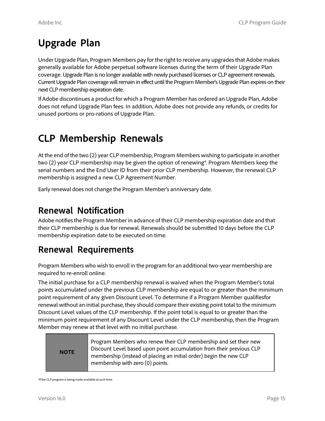# **Upgrade Plan**

Under Upgrade Plan, Program Members pay for the right to receive any upgradesthat Adobe makes generally available for Adobe perpetual software licenses during the term of their Upgrade Plan coverage. Upgrade Plan is no longer available with newly purchased licenses or CLP agreement renewals. Current Upgrade Plan coverage will remain in effect until the Program Member's Upgrade Plan expires on their next CLP membership expiration date.

If Adobe discontinues a product for which a Program Member has ordered an Upgrade Plan, Adobe does not refund Upgrade Plan fees. In addition, Adobe does not provide any refunds, or credits for unused portions or pro-rations of Upgrade Plan.

# **CLP Membership Renewals**

At the end of the two (2) year CLP membership, Program Members wishing to participate in another two (2) year CLP membership may be given the option of renewing<sup>4</sup>. Program Members keep the serial numbers and the End User ID from their prior CLP membership. However, the renewal CLP membership is assigned a new CLP Agreement Number.

Early renewal does not change the Program Member's anniversary date.

#### **Renewal Notification**

Adobe notifiesthe Program Member in advance of their CLP membership expiration date and that their CLP membership is due for renewal. Renewals should be submitted 10 days before the CLP membership expiration date to be executed on time.

#### **Renewal Requirements**

Program Members who wish to enroll in the program for an additional two-year membership are required to re-enroll online.

The initial purchase for a CLP membership renewal is waived when the Program Member's total points accumulated under the previous CLP membership are equal to or greater than the minimum point requirement of any given Discount Level. To determine if a Program Member qualifiesfor renewal without an initial purchase, they should compare their existing point total to the minimum Discount Level values of the CLP membership. If the point total is equal to or greater than the minimum point requirement of any Discount Level under the CLP membership, then the Program Member may renew at that level with no initial purchase.



<sup>4</sup> If the CLP program is being made available atsuch time.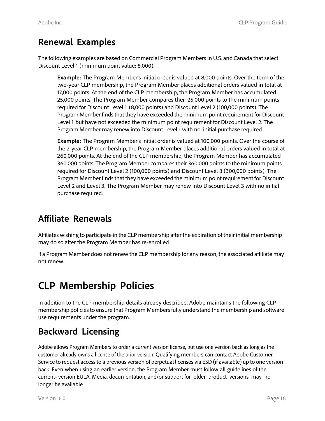#### **Renewal Examples**

The following examples are based on Commercial Program Members in U.S. and Canada that select Discount Level 1 (minimum point value: 8,000).

**Example:** The Program Member's initial order is valued at 8,000 points. Over the term of the two-year CLP membership, the Program Member places additional orders valued in total at 17,000 points. At the end of the CLP membership, the Program Member has accumulated 25,000 points. The Program Member compares their 25,000 points to the minimum points required for Discount Level 1 (8,000 points) and Discount Level 2 (100,000 points). The Program Member finds that they have exceeded the minimum point requirement for Discount Level 1 but have not exceeded the minimum point requirement for Discount Level 2. The Program Member may renew into Discount Level 1 with no initial purchase required.

**Example:** The Program Member's initial order is valued at 100,000 points. Over the course of the 2-year CLP membership, the Program Member places additional orders valued in total at 260,000 points. At the end of the CLP membership, the Program Member has accumulated 360,000 points. The Program Member compares their 360,000 points to the minimum points required for Discount Level 2 (100,000 points) and Discount Level 3 (300,000 points). The Program Member finds that they have exceeded the minimum point requirement for Discount Level 2 and Level 3. The Program Member may renew into Discount Level 3 with no initial purchase required.

#### **Affiliate Renewals**

Affiliates wishing to participate in the CLP membership after the expiration of their initial membership may do so after the Program Member has re-enrolled.

If a Program Member does not renew the CLP membership for any reason, the associated affiliate may not renew.

# **CLP Membership Policies**

In addition to the CLP membership details already described, Adobe maintains the following CLP membership policiesto ensure that Program Membersfully understand the membership and software use requirements under the program.

## **Backward Licensing**

Adobe allows Program Members to order a current version license, but use one version back as long as the customer already owns a license of the prior version. Qualifying members can contact Adobe Customer Service to request access to a previous version of perpetual licenses via ESD (if available) up to one version back. Even when using an earlier version, the Program Member must follow all guidelines of the current- version EULA. Media, documentation, and/or support for older product versions may no longer be available.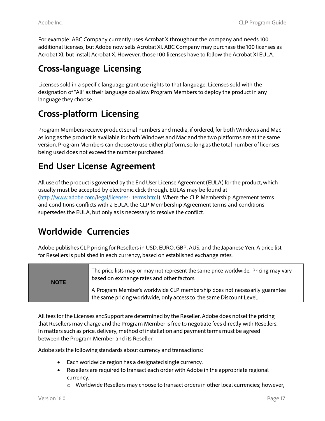For example: ABC Company currently uses Acrobat X throughout the company and needs 100 additional licenses, but Adobe now sells Acrobat XI. ABC Company may purchase the 100 licenses as Acrobat XI, but install Acrobat X. However, those 100 licenses have to follow the Acrobat XI EULA.

#### **Cross-language Licensing**

Licenses sold in a specific language grant use rights to that language. Licenses sold with the designation of "All" as their language do allow Program Members to deploy the product in any language they choose.

#### **Cross-platform Licensing**

Program Members receive product serial numbers and media, if ordered, for both Windows and Mac as long as the product is available for both Windows and Mac and the two platforms are at the same version. Program Members can choose to use either platform, so long as the total number of licenses being used does not exceed the number purchased.

#### **End User License Agreement**

All use of the product is governed by the End User License Agreement (EULA) for the product, which usually must be accepted by electronic click through. EULAs may be found at [\(http://www.adobe.com/legal/licenses-](http://www.adobe.com/legal/licenses-%20%20terms.html) terms.html). Where the CLP Membership Agreement terms and conditions conflicts with a EULA, the CLP Membership Agreement terms and conditions supersedes the EULA, but only as is necessary to resolve the conflict.

#### **Worldwide Currencies**

Adobe publishes CLP pricing for Resellers in USD, EURO, GBP, AUS, and the Japanese Yen. A price list for Resellers is published in each currency, based on established exchange rates.

| <b>NOTE</b> | The price lists may or may not represent the same price worldwide. Pricing may vary<br>based on exchange rates and other factors.                 |
|-------------|---------------------------------------------------------------------------------------------------------------------------------------------------|
|             | A Program Member's worldwide CLP membership does not necessarily guarantee<br>the same pricing worldwide, only access to the same Discount Level. |

All fees for the Licenses andSupport are determined by the Reseller. Adobe does notset the pricing that Resellers may charge and the Program Member isfree to negotiate fees directly with Resellers. In matterssuch as price, delivery, method of installation and payment terms must be agreed between the Program Member and its Reseller.

Adobe sets the following standards about currency and transactions:

- Each worldwide region has a designated single currency.
- Resellers are required to transact each order with Adobe in the appropriate regional currency.
	- $\circ$  Worldwide Resellers may choose to transact orders in other local currencies; however,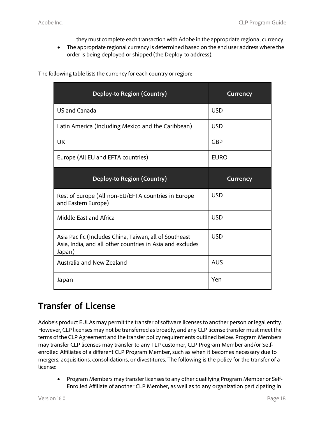they must complete each transaction with Adobe in the appropriate regional currency.

• The appropriate regional currency is determined based on the end user address where the order is being deployed or shipped (the Deploy-to address).

| Deploy-to Region (Country)                                                                                                    | <b>Currency</b> |
|-------------------------------------------------------------------------------------------------------------------------------|-----------------|
| <b>US and Canada</b>                                                                                                          | <b>USD</b>      |
| Latin America (Including Mexico and the Caribbean)                                                                            | <b>USD</b>      |
| <b>UK</b>                                                                                                                     | <b>GBP</b>      |
| Europe (All EU and EFTA countries)                                                                                            | <b>EURO</b>     |
| Deploy-to Region (Country)                                                                                                    | <b>Currency</b> |
|                                                                                                                               |                 |
| Rest of Europe (All non-EU/EFTA countries in Europe<br>and Eastern Europe)                                                    | <b>USD</b>      |
| Middle East and Africa                                                                                                        | <b>USD</b>      |
| Asia Pacific (Includes China, Taiwan, all of Southeast<br>Asia, India, and all other countries in Asia and excludes<br>Japan) | <b>USD</b>      |
| Australia and New Zealand                                                                                                     | <b>AUS</b>      |

The following table lists the currency for each country or region:

## **Transfer of License**

Adobe's product EULAs may permit the transfer of software licensesto another person or legal entity. However, CLP licenses may not be transferred as broadly, and any CLP license transfer must meet the terms of the CLP Agreement and the transfer policy requirements outlined below. Program Members may transfer CLP licenses may transfer to any TLP customer, CLP Program Member and/or Selfenrolled Affiliates of a different CLP Program Member, such as when it becomes necessary due to mergers, acquisitions, consolidations, or divestitures. The following is the policy for the transfer of a license:

• Program Members may transfer licensesto any other qualifying Program Member or Self-Enrolled Affiliate of another CLP Member, as well as to any organization participating in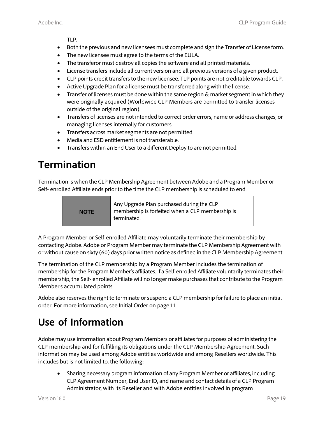TLP.

- Both the previous and new licensees must complete and sign the Transfer of License form.
- The new licensee must agree to the terms of the EULA.
- The transferor must destroy all copies the software and all printed materials.
- License transfers include all current version and all previous versions of a given product.
- CLP points credit transfers to the new licensee. TLP points are not creditable towards CLP.
- Active Upgrade Plan for a license must be transferred along with the license.
- Transfer of licenses must be done within the same region & market segment in which they were originally acquired (Worldwide CLP Members are permitted to transfer licenses outside of the original region).
- Transfers of licenses are not intended to correct order errors, name or address changes, or managing licenses internally for customers.
- Transfers across market segments are not permitted.
- Media and ESD entitlement is not transferable.
- Transfers within an End User to a different Deploy to are not permitted.

# **Termination**

Termination is when the CLP Membership Agreement between Adobe and a Program Member or Self- enrolled Affiliate ends prior to the time the CLP membership is scheduled to end.

> Any Upgrade Plan purchased during the CLP membership is forfeited when a CLP membership is **NOTE** terminated.

A Program Member or Self-enrolled Affiliate may voluntarily terminate their membership by contacting Adobe. Adobe or Program Member may terminate the CLP Membership Agreement with or without cause on sixty (60) days prior written notice as defined in the CLP Membership Agreement.

The termination of the CLP membership by a Program Member includes the termination of membership for the Program Member's affiliates. If a Self-enrolled Affiliate voluntarily terminates their membership, the Self- enrolled Affiliate will no longer make purchasesthat contribute to the Program Member's accumulated points.

Adobe also reserves the right to terminate or suspend a CLP membership for failure to place an initial order. For more information, see Initial Order on page 11.

# **Use of Information**

Adobe may use information about Program Members or affiliates for purposes of administering the CLP membership and for fulfilling its obligations under the CLP Membership Agreement. Such information may be used among Adobe entities worldwide and among Resellers worldwide. This includes but is not limited to, the following:

• Sharing necessary program information of any Program Member or affiliates, including CLP Agreement Number, End User ID, and name and contact details of a CLP Program Administrator, with its Reseller and with Adobe entities involved in program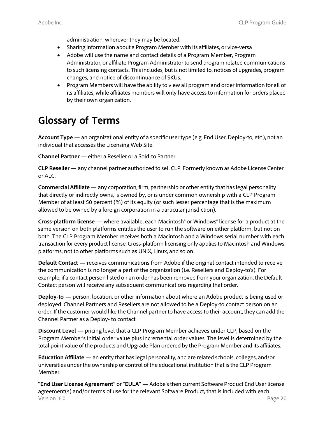administration, wherever they may be located.

- Sharing information about a Program Member with its affiliates, or vice-versa
- Adobe will use the name and contact details of a Program Member, Program Administrator, or affiliate Program Administrator to send program related communications to such licensing contacts. This includes, but is not limited to, notices of upgrades, program changes, and notice of discontinuance of SKUs.
- Program Members will have the ability to view all program and order information for all of its affiliates, while affiliates members will only have access to information for orders placed by their own organization.

# **Glossary of Terms**

**Account Type —** an organizational entity of a specific user type (e.g. End User, Deploy-to, etc.), not an individual that accesses the Licensing Web Site.

**Channel Partner —** either a Reseller or a Sold-to Partner.

**CLP Reseller —** any channel partner authorized to sell CLP. Formerly known as Adobe License Center or ALC.

**Commercial Affiliate —** any corporation, firm, partnership or other entity that haslegal personality that directly or indirectly owns, is owned by, or is under common ownership with a CLP Program Member of at least 50 percent (%) of its equity (or such lesser percentage that is the maximum allowed to be owned by a foreign corporation in a particular jurisdiction).

**Cross-platform license —** where available, each Macintosh® or Windows® license for a product at the same version on both platforms entitles the user to run the software on either platform, but not on both. The CLP Program Member receives both a Macintosh and a Windows serial number with each transaction for every product license. Cross-platform licensing only appliesto Macintosh and Windows platforms, not to other platforms such as UNIX, Linux, and so on.

**Default Contact —** receives communications from Adobe if the original contact intended to receive the communication is no longer a part of the organization (i.e. Resellers and Deploy-to's). For example, if a contact person listed on an order has been removed from your organization, the Default Contact person will receive any subsequent communications regarding that order.

**Deploy-to —** person, location, or other information about where an Adobe product is being used or deployed. Channel Partners and Resellers are not allowed to be a Deploy-to contact person on an order. If the customer would like the Channel partner to have access to their account, they can add the Channel Partner as a Deploy- to contact.

**Discount Level —** pricing level that a CLP Program Member achieves under CLP, based on the Program Member's initial order value plus incremental order values. The level is determined by the total point value of the products and Upgrade Plan ordered by the Program Member and its affiliates.

**Education Affiliate —** an entity that haslegal personality, and are related schools, colleges, and/or universities under the ownership or control of the educational institution that isthe CLP Program Member.

Version 16.0 Page 20 **"End User License Agreement"** or **"EULA" —** Adobe'sthen current Software Product End User license agreement(s) and/or terms of use for the relevant Software Product, that is included with each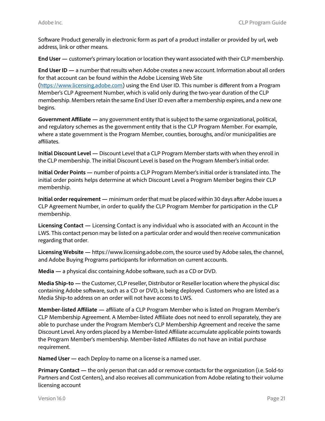Software Product generally in electronic form as part of a product installer or provided by url, web address, link or other means.

**End User —** customer's primary location or location they want associated with their CLP membership.

**End User ID —** a number that results when Adobe creates a new account. Information about all orders for that account can be found within the Adobe Licensing Web Site [\(https://www.licensing.adobe.com\)](https://www.licensing.adobe.com/) using the End User ID. This number is different from a Program Member's CLP Agreement Number, which is valid only during the two-year duration of the CLP membership. Members retain the same End User ID even after a membership expires, and a new one begins.

**Government Affiliate —** any government entity that issubject to the same organizational, political, and regulatory schemes as the government entity that is the CLP Program Member. For example, where a state government is the Program Member, counties, boroughs, and/or municipalities are affiliates.

**Initial Discount Level —** Discount Level that a CLP Program Member starts with when they enroll in the CLP membership. The initial Discount Level is based on the Program Member's initial order.

**Initial Order Points —** number of points a CLP Program Member'sinitial order is translated into. The initial order points helps determine at which Discount Level a Program Member begins their CLP membership.

**Initial order requirement —** minimum order that must be placed within 30 days after Adobe issues a CLP Agreement Number, in order to qualify the CLP Program Member for participation in the CLP membership.

**Licensing Contact —** Licensing Contact is any individual who is associated with an Account in the LWS. This contact person may be listed on a particular order and would then receive communication regarding that order.

**Licensing Website —** https:/[/www.licensing.adobe.com,](http://www.licensing.adobe.com/) the source used by Adobe sales, the channel, and Adobe Buying Programs participants for information on current accounts.

**Media** — a physical disc containing Adobe software, such as a CD or DVD.

**Media Ship-to —** the Customer, CLP reseller, Distributor or Reseller location where the physical disc containing Adobe software, such as a CD or DVD, is being deployed. Customers who are listed as a Media Ship-to address on an order will not have access to LWS.

**Member-listed Affiliate —** affiliate of a CLP Program Member who is listed on Program Member's CLP Membership Agreement. A Member-listed Affiliate does not need to enroll separately, they are able to purchase under the Program Member's CLP Membership Agreement and receive the same Discount Level. Any orders placed by a Member-listed Affiliate accumulate applicable points towards the Program Member's membership. Member-listed Affiliates do not have an initial purchase requirement.

**Named User —** each Deploy-to name on a license is a named user.

**Primary Contact —** the only person that can add or remove contacts for the organization (i.e. Sold-to Partners and Cost Centers), and also receives all communication from Adobe relating to their volume licensing account